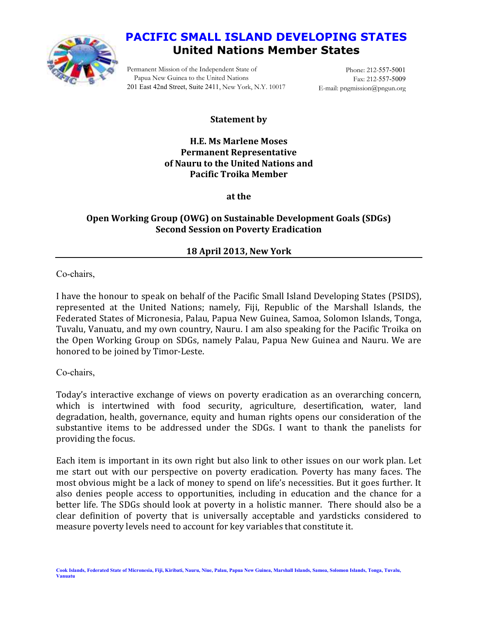

# **PACIFIC SMALL ISLAND DEVELOPING STATES United Nations Member States**

Permanent Mission of the Independent State of Papua New Guinea to the United Nations 201 East 42nd Street, Suite 2411, New York, N.Y. 10017

Phone: 212-557-5001 Fax: 212-557-5009 E-mail: pngmission@pngun.org

### **Statement by**

**H.E. Ms Marlene Moses Permanent Representative of Nauru to the United Nations and Pacific Troika Member** 

**at the** 

## **Open Working Group (OWG) on Sustainable Development Goals (SDGs) Second Session on Poverty Eradication**

## **18 April 2013, New York**

Co-chairs,

I have the honour to speak on behalf of the Pacific Small Island Developing States (PSIDS), represented at the United Nations; namely, Fiji, Republic of the Marshall Islands, the Federated States of Micronesia, Palau, Papua New Guinea, Samoa, Solomon Islands, Tonga, Tuvalu, Vanuatu, and my own country, Nauru. I am also speaking for the Pacific Troika on the Open Working Group on SDGs, namely Palau, Papua New Guinea and Nauru. We are honored to be joined by Timor-Leste.

Co-chairs,

Today's interactive exchange of views on poverty eradication as an overarching concern, which is intertwined with food security, agriculture, desertification, water, land degradation, health, governance, equity and human rights opens our consideration of the substantive items to be addressed under the SDGs. I want to thank the panelists for providing the focus.

Each item is important in its own right but also link to other issues on our work plan. Let me start out with our perspective on poverty eradication. Poverty has many faces. The most obvious might be a lack of money to spend on life's necessities. But it goes further. It also denies people access to opportunities, including in education and the chance for a better life. The SDGs should look at poverty in a holistic manner. There should also be a clear definition of poverty that is universally acceptable and yardsticks considered to measure poverty levels need to account for key variables that constitute it.

**Cook Islands, Federated State of Micronesia, Fiji, Kiribati, Nauru, Niue, Palau, Papua New Guinea, Marshall Islands, Samoa, Solomon Islands, Tonga, Tuvalu, Vanuatu**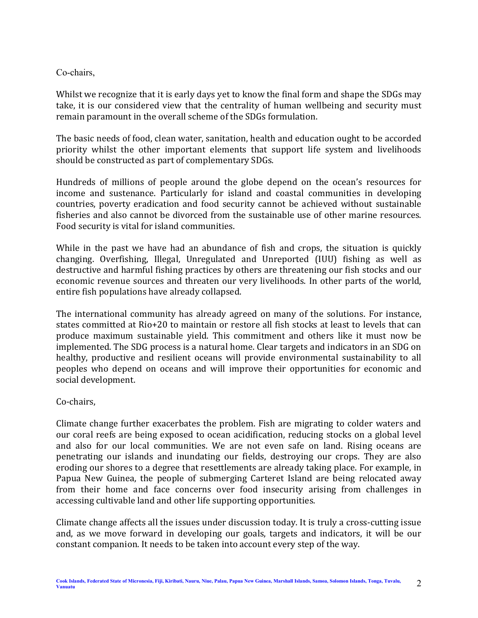#### Co-chairs,

Whilst we recognize that it is early days yet to know the final form and shape the SDGs may take, it is our considered view that the centrality of human wellbeing and security must remain paramount in the overall scheme of the SDGs formulation.

The basic needs of food, clean water, sanitation, health and education ought to be accorded priority whilst the other important elements that support life system and livelihoods should be constructed as part of complementary SDGs.

Hundreds of millions of people around the globe depend on the ocean's resources for income and sustenance. Particularly for island and coastal communities in developing countries, poverty eradication and food security cannot be achieved without sustainable fisheries and also cannot be divorced from the sustainable use of other marine resources. Food security is vital for island communities.

While in the past we have had an abundance of fish and crops, the situation is quickly changing. Overfishing, Illegal, Unregulated and Unreported (IUU) fishing as well as destructive and harmful fishing practices by others are threatening our fish stocks and our economic revenue sources and threaten our very livelihoods. In other parts of the world, entire fish populations have already collapsed.

The international community has already agreed on many of the solutions. For instance, states committed at Rio+20 to maintain or restore all fish stocks at least to levels that can produce maximum sustainable yield. This commitment and others like it must now be implemented. The SDG process is a natural home. Clear targets and indicators in an SDG on healthy, productive and resilient oceans will provide environmental sustainability to all peoples who depend on oceans and will improve their opportunities for economic and social development.

Co-chairs,

Climate change further exacerbates the problem. Fish are migrating to colder waters and our coral reefs are being exposed to ocean acidification, reducing stocks on a global level and also for our local communities. We are not even safe on land. Rising oceans are penetrating our islands and inundating our fields, destroying our crops. They are also eroding our shores to a degree that resettlements are already taking place. For example, in Papua New Guinea, the people of submerging Carteret Island are being relocated away from their home and face concerns over food insecurity arising from challenges in accessing cultivable land and other life supporting opportunities.

Climate change affects all the issues under discussion today. It is truly a cross-cutting issue and, as we move forward in developing our goals, targets and indicators, it will be our constant companion. It needs to be taken into account every step of the way.